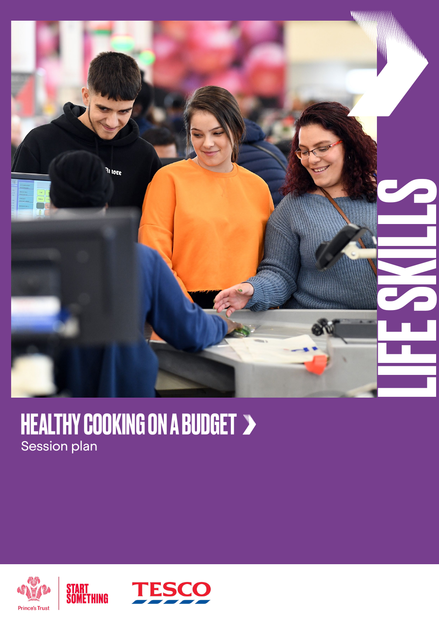

### HEALTHY COOKING ON A BUDGET Session plan



START<br>Something

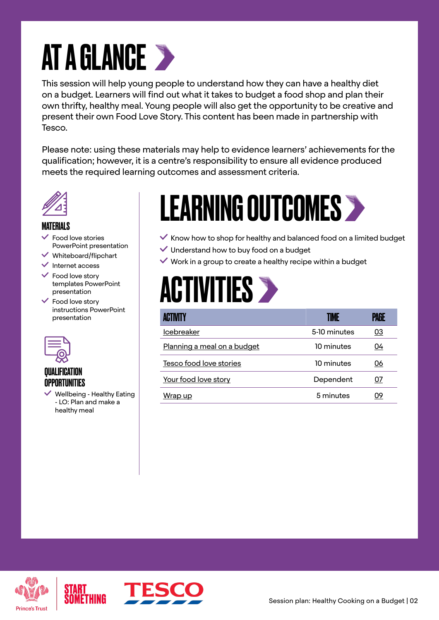# AT A GLANCE >

This session will help young people to understand how they can have a healthy diet on a budget. Learners will find out what it takes to budget a food shop and plan their own thrifty, healthy meal. Young people will also get the opportunity to be creative and present their own Food Love Story. This content has been made in partnership with Tesco.

Please note: using these materials may help to evidence learners' achievements for the qualification; however, it is a centre's responsibility to ensure all evidence produced meets the required learning outcomes and assessment criteria.



#### MATERIALS

- $\checkmark$  Food love stories PowerPoint presentation
- $\vee$  Whiteboard/flipchart
- $\checkmark$  Internet access
- $\checkmark$  Food love story templates PowerPoint presentation
- Food love story instructions PowerPoint presentation



### QUALIFICATION OPPORTUNITIES

 $\vee$  Wellbeing - Healthy Eating - LO: Plan and make a healthy meal

## LEARNING OUTCOMES

- $\checkmark$  Know how to shop for healthy and balanced food on a limited budget
- Understand how to buy food on a budget
- $\vee$  Work in a group to create a healthy recipe within a budget

## **ACTIVITIES >**

| ACTIVITY                    | IME          | PAGE      |
|-----------------------------|--------------|-----------|
| <b>Icebreaker</b>           | 5-10 minutes | <u>03</u> |
| Planning a meal on a budget | 10 minutes   | 04        |
| Tesco food love stories     | 10 minutes   | 06        |
| Your food love story        | Dependent    | 07        |
| Wrap up                     | 5 minutes    | 09        |



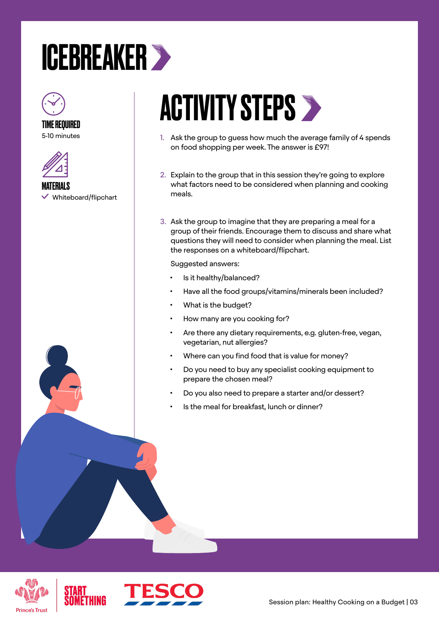### <span id="page-2-0"></span>ICEBREAKER



TIME REQUIRED 5-10 minutes



MATERIALS  $\checkmark$  Whiteboard/flipchart

# **ACTIVITY STEPS >**

- 1. Ask the group to guess how much the average family of 4 spends on food shopping per week. The answer is £97!
- 2. Explain to the group that in this session they're going to explore what factors need to be considered when planning and cooking meals.
- 3. Ask the group to imagine that they are preparing a meal for a group of their friends. Encourage them to discuss and share what questions they will need to consider when planning the meal. List the responses on a whiteboard/flipchart.

Suggested answers:

- Is it healthy/balanced?
- Have all the food groups/vitamins/minerals been included?
- What is the budget?
- How many are you cooking for?
- Are there any dietary requirements, e.g. gluten-free, vegan, vegetarian, nut allergies?
- Where can you find food that is value for money?
- Do you need to buy any specialist cooking equipment to prepare the chosen meal?
- Do you also need to prepare a starter and/or dessert?
- Is the meal for breakfast, lunch or dinner?



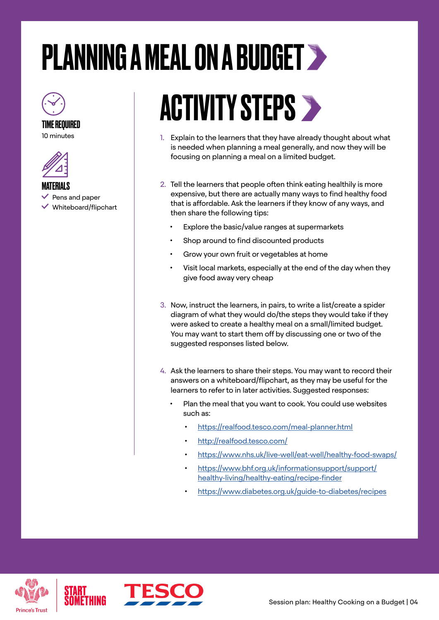# <span id="page-3-0"></span>PLANNING A MEAL ON A BUDGET



TIME REQUIRED





MATERIALS

- $\blacktriangleright$  Pens and paper
- $\vee$  Whiteboard/flipchart

## **ACTIVITY STEPS >**

- 1. Explain to the learners that they have already thought about what is needed when planning a meal generally, and now they will be focusing on planning a meal on a limited budget.
- 2. Tell the learners that people often think eating healthily is more expensive, but there are actually many ways to find healthy food that is affordable. Ask the learners if they know of any ways, and then share the following tips:
	- Explore the basic/value ranges at supermarkets
	- Shop around to find discounted products
	- Grow your own fruit or vegetables at home
	- Visit local markets, especially at the end of the day when they give food away very cheap
- 3. Now, instruct the learners, in pairs, to write a list/create a spider diagram of what they would do/the steps they would take if they were asked to create a healthy meal on a small/limited budget. You may want to start them off by discussing one or two of the suggested responses listed below.
- 4. Ask the learners to share their steps. You may want to record their answers on a whiteboard/flipchart, as they may be useful for the learners to refer to in later activities. Suggested responses:
	- Plan the meal that you want to cook. You could use websites such as:
		- [https://realfood.tesco.com/meal-planner.html](https://realfood.tesco.com/meal-planner.html )
		- <http://realfood.tesco.com/>
		- <https://www.nhs.uk/live-well/eat-well/healthy-food-swaps/>
		- [https://www.bhf.org.uk/informationsupport/support/](https://www.bhf.org.uk/informationsupport/support/healthy-living/healthy-eating/recipe-finder) [healthy-living/healthy-eating/recipe-finder](https://www.bhf.org.uk/informationsupport/support/healthy-living/healthy-eating/recipe-finder)
		- <https://www.diabetes.org.uk/guide-to-diabetes/recipes>



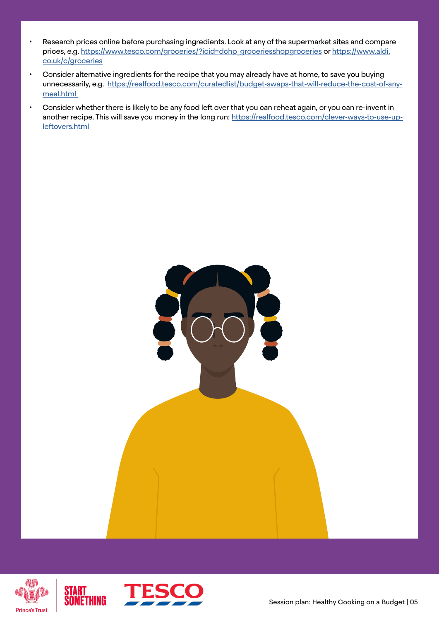- Research prices online before purchasing ingredients. Look at any of the supermarket sites and compare prices, e.g. [https://www.tesco.com/groceries/?icid=dchp\\_groceriesshopgroceries](https://www.tesco.com/groceries/?icid=dchp_groceriesshopgroceries) or [https://www.aldi.](ttps://www.aldi.co.uk/c/groceries) [co.uk/c/groceries](ttps://www.aldi.co.uk/c/groceries)
- Consider alternative ingredients for the recipe that you may already have at home, to save you buying unnecessarily, e.g. [https://realfood.tesco.com/curatedlist/budget-swaps-that-will-reduce-the-cost-of-any](https://realfood.tesco.com/curatedlist/budget-swaps-that-will-reduce-the-cost-of-any-meal.html )[meal.html](https://realfood.tesco.com/curatedlist/budget-swaps-that-will-reduce-the-cost-of-any-meal.html )
- Consider whether there is likely to be any food left over that you can reheat again, or you can re-invent in another recipe. This will save you money in the long run: [https://realfood.tesco.com/clever-ways-to-use-up](https://realfood.tesco.com/clever-ways-to-use-up-leftovers.html)[leftovers.html](https://realfood.tesco.com/clever-ways-to-use-up-leftovers.html)





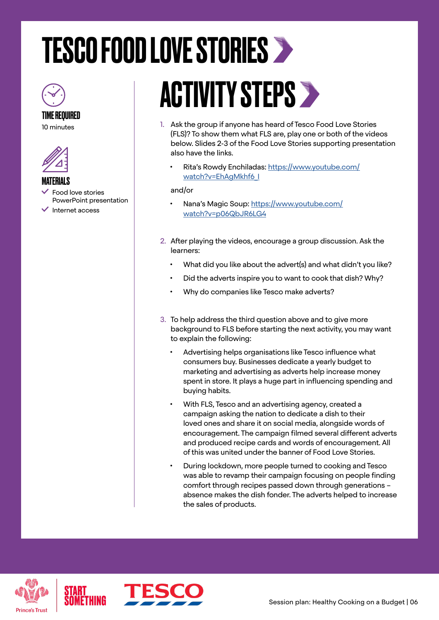# <span id="page-5-0"></span>TESCO FOOD LOVE STORIES



TIME REQUIRED 10 minutes



#### MATERIALS

- Food love stories PowerPoint presentation
- $\checkmark$  Internet access

# ACTIVITY STEPS >

- 1. Ask the group if anyone has heard of Tesco Food Love Stories (FLS)? To show them what FLS are, play one or both of the videos below. Slides 2-3 of the Food Love Stories supporting presentation also have the links.
	- Rita's Rowdy Enchiladas: [https://www.youtube.com/](https://www.youtube.com/watch?v=EhAgMkhf6_I) [watch?v=EhAgMkhf6\\_I](https://www.youtube.com/watch?v=EhAgMkhf6_I)

#### and/or

- Nana's Magic Soup: [https://www.youtube.com/](https://www.youtube.com/watch?v=p06QbJR6LG4) [watch?v=p06QbJR6LG4](https://www.youtube.com/watch?v=p06QbJR6LG4)
- 2. After playing the videos, encourage a group discussion. Ask the learners:
	- What did you like about the advert(s) and what didn't you like?
	- Did the adverts inspire you to want to cook that dish? Why?
	- Why do companies like Tesco make adverts?
- 3. To help address the third question above and to give more background to FLS before starting the next activity, you may want to explain the following:
	- Advertising helps organisations like Tesco influence what consumers buy. Businesses dedicate a yearly budget to marketing and advertising as adverts help increase money spent in store. It plays a huge part in influencing spending and buying habits.
	- With FLS, Tesco and an advertising agency, created a campaign asking the nation to dedicate a dish to their loved ones and share it on social media, alongside words of encouragement. The campaign filmed several different adverts and produced recipe cards and words of encouragement. All of this was united under the banner of Food Love Stories.
	- During lockdown, more people turned to cooking and Tesco was able to revamp their campaign focusing on people finding comfort through recipes passed down through generations – absence makes the dish fonder. The adverts helped to increase the sales of products.





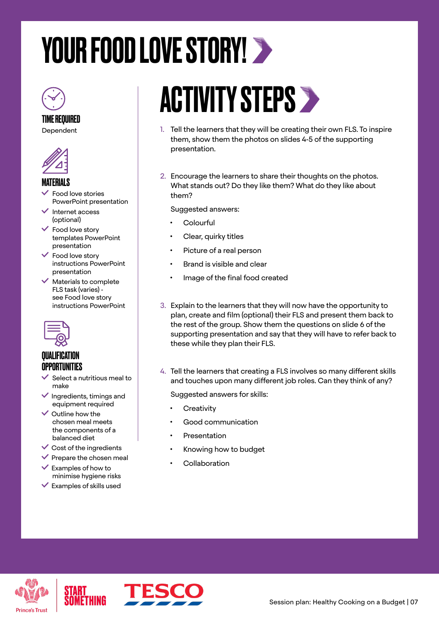# <span id="page-6-0"></span>YOUR FOOD LOVE STORY! >



### TIME REQUIRED

Dependent



#### MATERIALS

- Food love stories PowerPoint presentation
- Internet access (optional)
- $\checkmark$  Food love story templates PowerPoint presentation
- Food love story instructions PowerPoint presentation
- $\checkmark$  Materials to complete FLS task (varies) see Food love story instructions PowerPoint



### **QUALIFICATION OPPORTUNITIES**

- $\checkmark$  Select a nutritious meal to make
- $\blacktriangleright$  Ingredients, timings and equipment required
- $\vee$  Outline how the chosen meal meets the components of a balanced diet
- $\vee$  Cost of the ingredients
- $\vee$  Prepare the chosen meal
- $\checkmark$  Examples of how to minimise hygiene risks
- $\checkmark$  Examples of skills used

# ACTIVITY STEPS

- 1. Tell the learners that they will be creating their own FLS. To inspire them, show them the photos on slides 4-5 of the supporting presentation.
- 2. Encourage the learners to share their thoughts on the photos. What stands out? Do they like them? What do they like about them?

Suggested answers:

- **Colourful**
- Clear, quirky titles
- Picture of a real person
- Brand is visible and clear
- Image of the final food created
- 3. Explain to the learners that they will now have the opportunity to plan, create and film (optional) their FLS and present them back to the rest of the group. Show them the questions on slide 6 of the supporting presentation and say that they will have to refer back to these while they plan their FLS.
- 4. Tell the learners that creating a FLS involves so many different skills and touches upon many different job roles. Can they think of any?

Suggested answers for skills:

- **Creativity**
- Good communication
- **Presentation**
- Knowing how to budget
- **Collaboration**





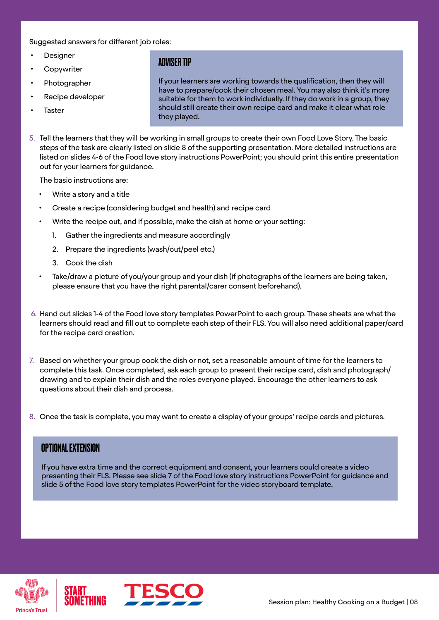Suggested answers for different job roles:

- **Designer**
- **Copywriter**
- Photographer
- Recipe developer
- **Taster**

### ADVISER TIP

If your learners are working towards the qualification, then they will have to prepare/cook their chosen meal. You may also think it's more suitable for them to work individually. If they do work in a group, they should still create their own recipe card and make it clear what role they played.

5. Tell the learners that they will be working in small groups to create their own Food Love Story. The basic steps of the task are clearly listed on slide 8 of the supporting presentation. More detailed instructions are listed on slides 4-6 of the Food love story instructions PowerPoint; you should print this entire presentation out for your learners for guidance.

The basic instructions are:

- Write a story and a title
- Create a recipe (considering budget and health) and recipe card
- Write the recipe out, and if possible, make the dish at home or your setting:
	- 1. Gather the ingredients and measure accordingly
	- 2. Prepare the ingredients (wash/cut/peel etc.)
	- 3. Cook the dish
- Take/draw a picture of you/your group and your dish (if photographs of the learners are being taken, please ensure that you have the right parental/carer consent beforehand).
- 6. Hand out slides 1-4 of the Food love story templates PowerPoint to each group. These sheets are what the learners should read and fill out to complete each step of their FLS. You will also need additional paper/card for the recipe card creation.
- 7. Based on whether your group cook the dish or not, set a reasonable amount of time for the learners to complete this task. Once completed, ask each group to present their recipe card, dish and photograph/ drawing and to explain their dish and the roles everyone played. Encourage the other learners to ask questions about their dish and process.
- 8. Once the task is complete, you may want to create a display of your groups' recipe cards and pictures.

#### OPTIONAL EXTENSION

If you have extra time and the correct equipment and consent, your learners could create a video presenting their FLS. Please see slide 7 of the Food love story instructions PowerPoint for guidance and slide 5 of the Food love story templates PowerPoint for the video storyboard template.